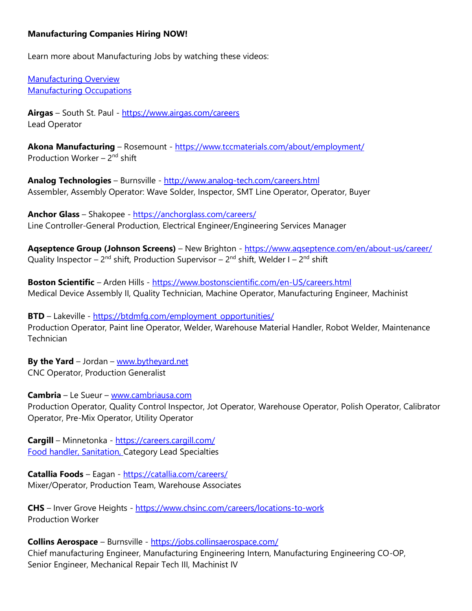## **Manufacturing Companies Hiring NOW!**

Learn more about Manufacturing Jobs by watching these videos:

[Manufacturing Overview](https://www.careeronestop.org/Videos/IndustryVideos/manufacturing-overview.aspx) [Manufacturing Occupations](https://www.careeronestop.org/Videos/IndustryVideos/manufacturing-occupations.aspx)

**Airgas** – South St. Paul - <https://www.airgas.com/careers> Lead Operator

**Akona Manufacturing** – Rosemount - <https://www.tccmaterials.com/about/employment/> Production Worker - 2<sup>nd</sup> shift

**Analog Technologies** – Burnsville - <http://www.analog-tech.com/careers.html> Assembler, Assembly Operator: Wave Solder, Inspector, SMT Line Operator, Operator, Buyer

**Anchor Glass** – Shakopee - <https://anchorglass.com/careers/> Line Controller-General Production, Electrical Engineer/Engineering Services Manager

Aqseptence Group (Johnson Screens) – New Brighton - https://www.agseptence.com/en/about-us/career/ Quality Inspector – 2<sup>nd</sup> shift, Production Supervisor – 2<sup>nd</sup> shift, Welder I – 2<sup>nd</sup> shift

**Boston Scientific** – Arden Hills - <https://www.bostonscientific.com/en-US/careers.html> Medical Device Assembly II, Quality Technician, Machine Operator, Manufacturing Engineer, Machinist

**BTD** – Lakeville - [https://btdmfg.com/employment\\_opportunities/](https://btdmfg.com/employment_opportunities/) Production Operator, Paint line Operator, Welder, Warehouse Material Handler, Robot Welder, Maintenance **Technician** 

**By the Yard** – Jordan – [www.bytheyard.net](http://www.bytheyard.net/) CNC Operator, Production Generalist

**Cambria** – Le Sueur – [www.cambriausa.com](http://www.cambriausa.com/) Production Operator, Quality Control Inspector, Jot Operator, Warehouse Operator, Polish Operator, Calibrator Operator, Pre-Mix Operator, Utility Operator

**Cargill** – Minnetonka - <https://careers.cargill.com/> Food handler, Sanitation, Category Lead Specialties

**Catallia Foods** – Eagan - <https://catallia.com/careers/> Mixer/Operator, Production Team, Warehouse Associates

**CHS** – Inver Grove Heights - <https://www.chsinc.com/careers/locations-to-work> Production Worker

**Collins Aerospace** – Burnsville - <https://jobs.collinsaerospace.com/>

Chief manufacturing Engineer, Manufacturing Engineering Intern, Manufacturing Engineering CO-OP, Senior Engineer, Mechanical Repair Tech III, Machinist IV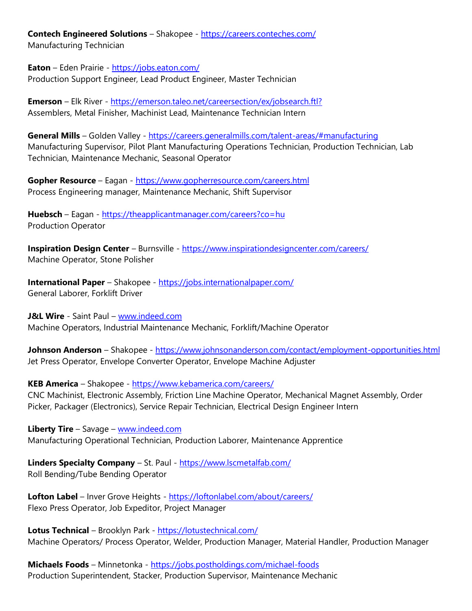**Contech Engineered Solutions** – Shakopee - <https://careers.conteches.com/> Manufacturing Technician

**Eaton** – Eden Prairie - <https://jobs.eaton.com/> Production Support Engineer, Lead Product Engineer, Master Technician

**Emerson** – Elk River - <https://emerson.taleo.net/careersection/ex/jobsearch.ftl?> Assemblers, Metal Finisher, Machinist Lead, Maintenance Technician Intern

General Mills - Golden Valley - <https://careers.generalmills.com/talent-areas/#manufacturing> Manufacturing Supervisor, Pilot Plant Manufacturing Operations Technician, Production Technician, Lab Technician, Maintenance Mechanic, Seasonal Operator

**Gopher Resource** – Eagan - <https://www.gopherresource.com/careers.html> Process Engineering manager, Maintenance Mechanic, Shift Supervisor

**Huebsch** – Eagan - <https://theapplicantmanager.com/careers?co=hu> Production Operator

**Inspiration Design Center** – Burnsville - <https://www.inspirationdesigncenter.com/careers/> Machine Operator, Stone Polisher

**International Paper** – Shakopee - <https://jobs.internationalpaper.com/> General Laborer, Forklift Driver

**J&L Wire** - Saint Paul – [www.indeed.com](http://www.indeed.com/) Machine Operators, Industrial Maintenance Mechanic, Forklift/Machine Operator

**Johnson Anderson** – Shakopee - <https://www.johnsonanderson.com/contact/employment-opportunities.html> Jet Press Operator, Envelope Converter Operator, Envelope Machine Adjuster

**KEB America** – Shakopee - <https://www.kebamerica.com/careers/> CNC Machinist, Electronic Assembly, Friction Line Machine Operator, Mechanical Magnet Assembly, Order Picker, Packager (Electronics), Service Repair Technician, Electrical Design Engineer Intern

**Liberty Tire** – Savage – [www.indeed.com](http://www.indeed.com/) Manufacturing Operational Technician, Production Laborer, Maintenance Apprentice

**Linders Specialty Company** – St. Paul - <https://www.lscmetalfab.com/> Roll Bending/Tube Bending Operator

**Lofton Label** – Inver Grove Heights - <https://loftonlabel.com/about/careers/> Flexo Press Operator, Job Expeditor, Project Manager

**Lotus Technical** – Brooklyn Park - <https://lotustechnical.com/> Machine Operators/ Process Operator, Welder, Production Manager, Material Handler, Production Manager

**Michaels Foods** – Minnetonka - <https://jobs.postholdings.com/michael-foods> Production Superintendent, Stacker, Production Supervisor, Maintenance Mechanic